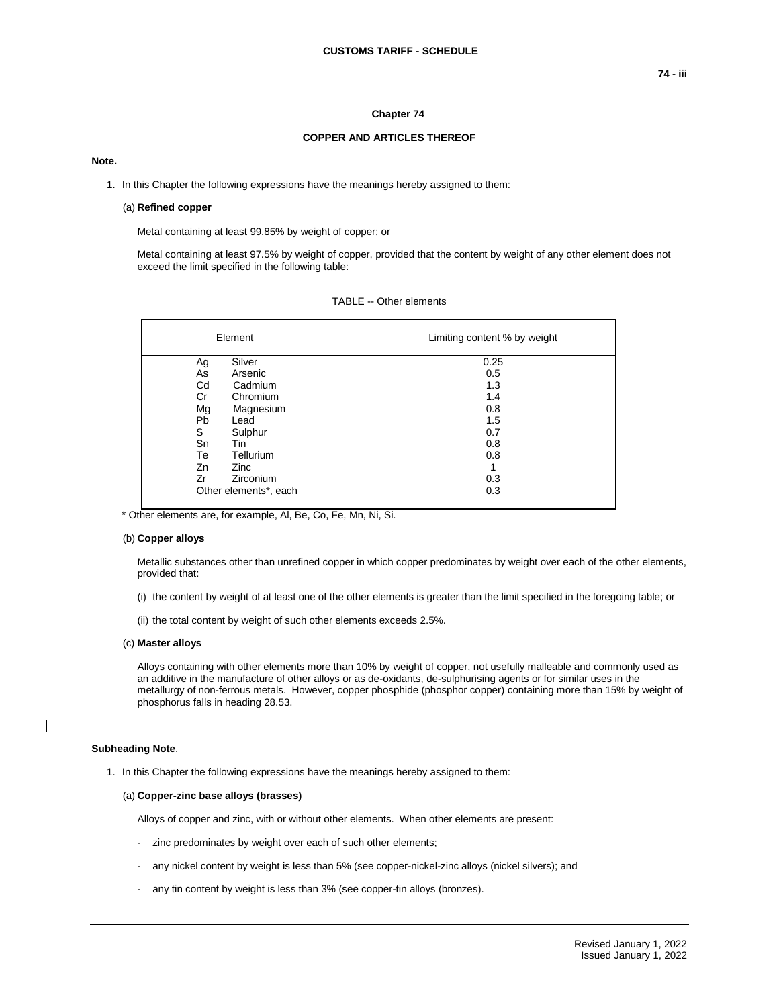# **Chapter 74**

### **COPPER AND ARTICLES THEREOF**

## **Note.**

1. In this Chapter the following expressions have the meanings hereby assigned to them:

## (a) **Refined copper**

Metal containing at least 99.85% by weight of copper; or

Metal containing at least 97.5% by weight of copper, provided that the content by weight of any other element does not exceed the limit specified in the following table:

| Element               | Limiting content % by weight |  |  |  |
|-----------------------|------------------------------|--|--|--|
| Silver<br>Ag          | 0.25                         |  |  |  |
| Arsenic<br>As         | 0.5                          |  |  |  |
| Cd<br>Cadmium         | 1.3                          |  |  |  |
| Chromium<br>Cr        | 1.4                          |  |  |  |
| Mg<br>Magnesium       | 0.8                          |  |  |  |
| Pb<br>Lead            | 1.5                          |  |  |  |
| S<br>Sulphur          | 0.7                          |  |  |  |
| Sn<br>Tin             | 0.8                          |  |  |  |
| Tellurium<br>Тe       | 0.8                          |  |  |  |
| Zn<br>Zinc            | 1                            |  |  |  |
| Zirconium<br>Zr       | 0.3                          |  |  |  |
| Other elements*, each | 0.3                          |  |  |  |

|  |  | TABLE -- Other elements |
|--|--|-------------------------|
|--|--|-------------------------|

\* Other elements are, for example, Al, Be, Co, Fe, Mn, Ni, Si.

### (b) **Copper alloys**

Metallic substances other than unrefined copper in which copper predominates by weight over each of the other elements, provided that:

- (i) the content by weight of at least one of the other elements is greater than the limit specified in the foregoing table; or
- (ii) the total content by weight of such other elements exceeds 2.5%.

#### (c) **Master alloys**

Alloys containing with other elements more than 10% by weight of copper, not usefully malleable and commonly used as an additive in the manufacture of other alloys or as de-oxidants, de-sulphurising agents or for similar uses in the metallurgy of non-ferrous metals. However, copper phosphide (phosphor copper) containing more than 15% by weight of phosphorus falls in heading 28.53.

### **Subheading Note**.

1. In this Chapter the following expressions have the meanings hereby assigned to them:

### (a) **Copper-zinc base alloys (brasses)**

Alloys of copper and zinc, with or without other elements. When other elements are present:

- zinc predominates by weight over each of such other elements;
- any nickel content by weight is less than 5% (see copper-nickel-zinc alloys (nickel silvers); and
- any tin content by weight is less than 3% (see copper-tin alloys (bronzes).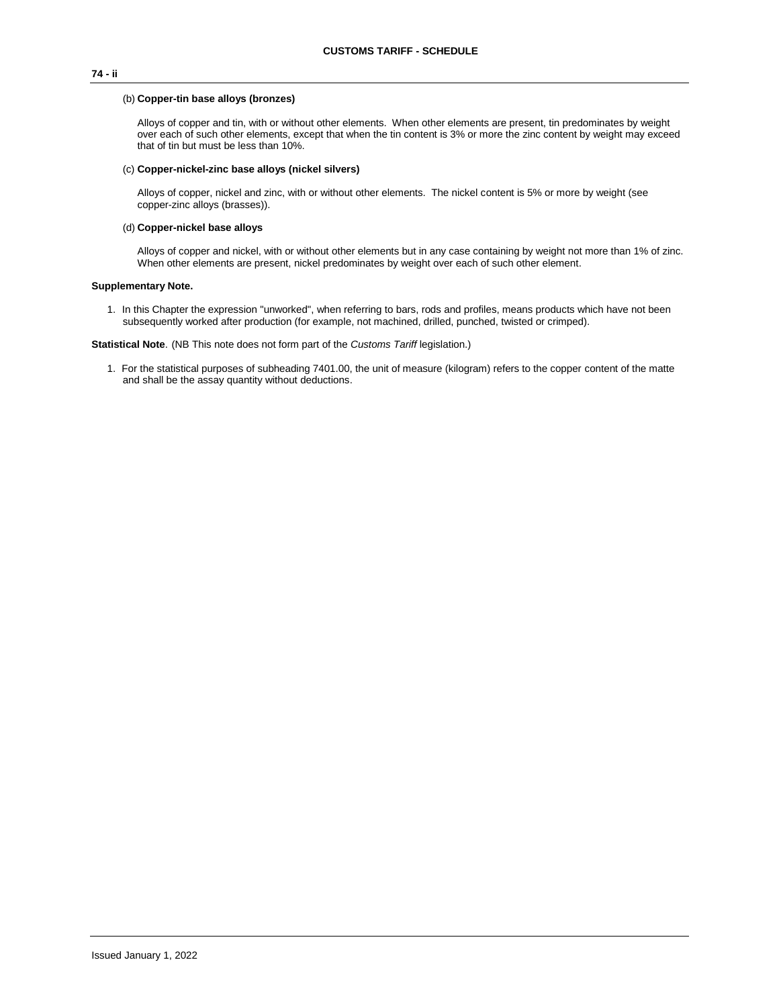# **74 - ii**

### (b) **Copper-tin base alloys (bronzes)**

Alloys of copper and tin, with or without other elements. When other elements are present, tin predominates by weight over each of such other elements, except that when the tin content is 3% or more the zinc content by weight may exceed that of tin but must be less than 10%.

### (c) **Copper-nickel-zinc base alloys (nickel silvers)**

Alloys of copper, nickel and zinc, with or without other elements. The nickel content is 5% or more by weight (see copper-zinc alloys (brasses)).

### (d) **Copper-nickel base alloys**

Alloys of copper and nickel, with or without other elements but in any case containing by weight not more than 1% of zinc. When other elements are present, nickel predominates by weight over each of such other element.

# **Supplementary Note.**

1. In this Chapter the expression "unworked", when referring to bars, rods and profiles, means products which have not been subsequently worked after production (for example, not machined, drilled, punched, twisted or crimped).

**Statistical Note**. (NB This note does not form part of the *Customs Tariff* legislation.)

1. For the statistical purposes of subheading 7401.00, the unit of measure (kilogram) refers to the copper content of the matte and shall be the assay quantity without deductions.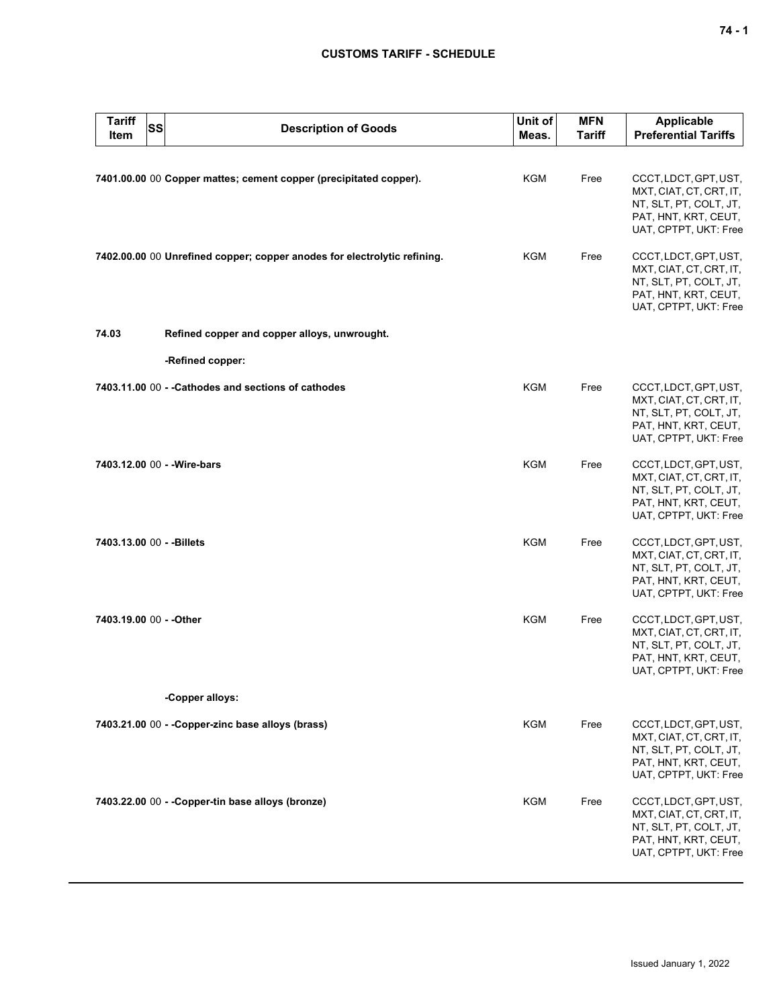# **CUSTOMS TARIFF - SCHEDULE**

| <b>Tariff</b><br>Item     | <b>SS</b> | <b>Description of Goods</b>                                              | Unit of<br>Meas. | <b>MFN</b><br><b>Tariff</b> | Applicable<br><b>Preferential Tariffs</b>                                                                                   |
|---------------------------|-----------|--------------------------------------------------------------------------|------------------|-----------------------------|-----------------------------------------------------------------------------------------------------------------------------|
|                           |           | 7401.00.00 00 Copper mattes; cement copper (precipitated copper).        | <b>KGM</b>       | Free                        | CCCT, LDCT, GPT, UST,<br>MXT, CIAT, CT, CRT, IT,<br>NT, SLT, PT, COLT, JT,<br>PAT, HNT, KRT, CEUT,<br>UAT, CPTPT, UKT: Free |
|                           |           | 7402.00.00 00 Unrefined copper; copper anodes for electrolytic refining. | KGM              | Free                        | CCCT, LDCT, GPT, UST,<br>MXT, CIAT, CT, CRT, IT,<br>NT, SLT, PT, COLT, JT,<br>PAT, HNT, KRT, CEUT,<br>UAT, CPTPT, UKT: Free |
| 74.03                     |           | Refined copper and copper alloys, unwrought.                             |                  |                             |                                                                                                                             |
|                           |           | -Refined copper:                                                         |                  |                             |                                                                                                                             |
|                           |           | 7403.11.00 00 - - Cathodes and sections of cathodes                      | <b>KGM</b>       | Free                        | CCCT, LDCT, GPT, UST,<br>MXT, CIAT, CT, CRT, IT,<br>NT, SLT, PT, COLT, JT,<br>PAT, HNT, KRT, CEUT,<br>UAT, CPTPT, UKT: Free |
|                           |           | 7403.12.00 00 - - Wire-bars                                              | <b>KGM</b>       | Free                        | CCCT, LDCT, GPT, UST,<br>MXT, CIAT, CT, CRT, IT,<br>NT, SLT, PT, COLT, JT,<br>PAT, HNT, KRT, CEUT,<br>UAT, CPTPT, UKT: Free |
| 7403.13.00 00 - - Billets |           |                                                                          | <b>KGM</b>       | Free                        | CCCT, LDCT, GPT, UST,<br>MXT, CIAT, CT, CRT, IT,<br>NT, SLT, PT, COLT, JT,<br>PAT, HNT, KRT, CEUT,<br>UAT, CPTPT, UKT: Free |
| 7403.19.00 00 - - Other   |           |                                                                          | <b>KGM</b>       | Free                        | CCCT, LDCT, GPT, UST,<br>MXT, CIAT, CT, CRT, IT,<br>NT, SLT, PT, COLT, JT,<br>PAT, HNT, KRT, CEUT,<br>UAT, CPTPT, UKT: Free |
|                           |           | -Copper alloys:                                                          |                  |                             |                                                                                                                             |
|                           |           | 7403.21.00 00 - - Copper-zinc base alloys (brass)                        | KGM              | Free                        | CCCT, LDCT, GPT, UST,<br>MXT, CIAT, CT, CRT, IT,<br>NT, SLT, PT, COLT, JT,<br>PAT, HNT, KRT, CEUT,<br>UAT, CPTPT, UKT: Free |
|                           |           | 7403.22.00 00 - - Copper-tin base alloys (bronze)                        | KGM              | Free                        | CCCT, LDCT, GPT, UST,<br>MXT, CIAT, CT, CRT, IT,<br>NT, SLT, PT, COLT, JT,<br>PAT, HNT, KRT, CEUT,<br>UAT, CPTPT, UKT: Free |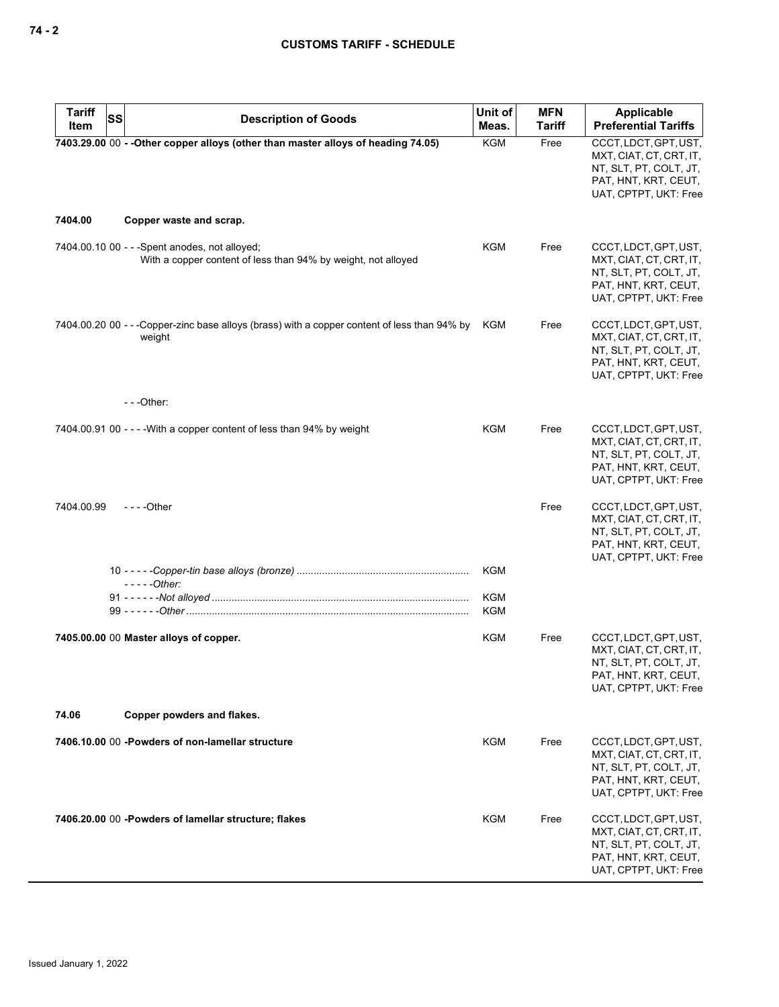| <b>Tariff</b><br>SS | <b>Description of Goods</b>                                                                                     | Unit of                  | <b>MFN</b>    | Applicable                                                                                                                  |
|---------------------|-----------------------------------------------------------------------------------------------------------------|--------------------------|---------------|-----------------------------------------------------------------------------------------------------------------------------|
| Item                |                                                                                                                 | Meas.                    | <b>Tariff</b> | <b>Preferential Tariffs</b>                                                                                                 |
|                     | 7403.29.00 00 - - Other copper alloys (other than master alloys of heading 74.05)                               | <b>KGM</b>               | Free          | CCCT, LDCT, GPT, UST,<br>MXT, CIAT, CT, CRT, IT,<br>NT, SLT, PT, COLT, JT,<br>PAT, HNT, KRT, CEUT,<br>UAT, CPTPT, UKT: Free |
| 7404.00             | Copper waste and scrap.                                                                                         |                          |               |                                                                                                                             |
|                     | 7404.00.10 00 - - - Spent anodes, not alloyed;<br>With a copper content of less than 94% by weight, not alloyed | KGM                      | Free          | CCCT, LDCT, GPT, UST,<br>MXT, CIAT, CT, CRT, IT,<br>NT, SLT, PT, COLT, JT,<br>PAT, HNT, KRT, CEUT,<br>UAT, CPTPT, UKT: Free |
|                     | 7404.00.20 00 - - - Copper-zinc base alloys (brass) with a copper content of less than 94% by<br>weight         | KGM                      | Free          | CCCT, LDCT, GPT, UST,<br>MXT, CIAT, CT, CRT, IT,<br>NT, SLT, PT, COLT, JT,<br>PAT, HNT, KRT, CEUT,<br>UAT, CPTPT, UKT: Free |
|                     | $--$ Other:                                                                                                     |                          |               |                                                                                                                             |
|                     | 7404.00.91 00 - - - - With a copper content of less than 94% by weight                                          | <b>KGM</b>               | Free          | CCCT, LDCT, GPT, UST,<br>MXT, CIAT, CT, CRT, IT,<br>NT, SLT, PT, COLT, JT,<br>PAT, HNT, KRT, CEUT,<br>UAT, CPTPT, UKT: Free |
| 7404.00.99          | $--$ Other                                                                                                      |                          | Free          | CCCT, LDCT, GPT, UST,<br>MXT, CIAT, CT, CRT, IT,<br>NT, SLT, PT, COLT, JT,<br>PAT, HNT, KRT, CEUT,<br>UAT, CPTPT, UKT: Free |
|                     | $---Other:$                                                                                                     | KGM                      |               |                                                                                                                             |
|                     |                                                                                                                 | <b>KGM</b><br><b>KGM</b> |               |                                                                                                                             |
|                     | 7405.00.00 00 Master alloys of copper.                                                                          | <b>KGM</b>               | Free          | CCCT, LDCT, GPT, UST,<br>MXT, CIAT, CT, CRT, IT,<br>NT, SLT, PT, COLT, JT,<br>PAT, HNT, KRT, CEUT,<br>UAT, CPTPT, UKT: Free |
| 74.06               | Copper powders and flakes.                                                                                      |                          |               |                                                                                                                             |
|                     | 7406.10.00 00 -Powders of non-lamellar structure                                                                | KGM                      | Free          | CCCT, LDCT, GPT, UST,<br>MXT, CIAT, CT, CRT, IT,<br>NT, SLT, PT, COLT, JT,<br>PAT, HNT, KRT, CEUT,<br>UAT, CPTPT, UKT: Free |
|                     | 7406.20.00 00 - Powders of lamellar structure; flakes                                                           | KGM                      | Free          | CCCT, LDCT, GPT, UST,<br>MXT, CIAT, CT, CRT, IT,<br>NT, SLT, PT, COLT, JT,<br>PAT, HNT, KRT, CEUT,<br>UAT, CPTPT, UKT: Free |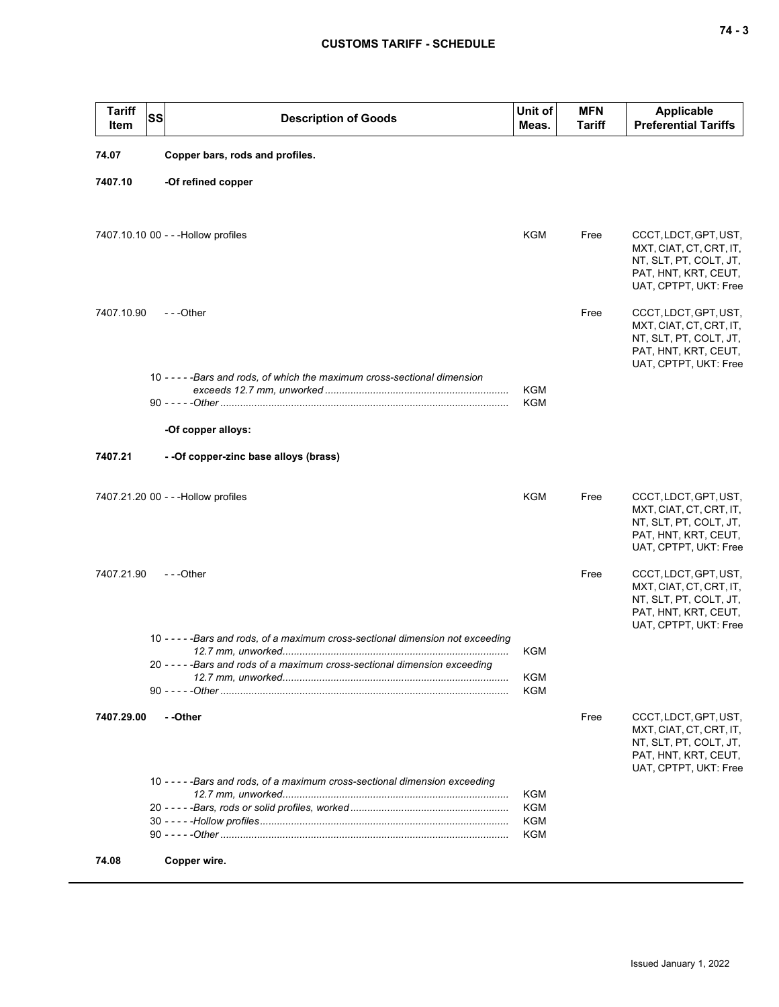| <b>Tariff</b><br>Item | <b>SS</b> | <b>Description of Goods</b>                                                      | Unit of<br>Meas. | <b>MFN</b><br><b>Tariff</b> | Applicable<br><b>Preferential Tariffs</b>                                                                                   |
|-----------------------|-----------|----------------------------------------------------------------------------------|------------------|-----------------------------|-----------------------------------------------------------------------------------------------------------------------------|
| 74.07                 |           | Copper bars, rods and profiles.                                                  |                  |                             |                                                                                                                             |
| 7407.10               |           | -Of refined copper                                                               |                  |                             |                                                                                                                             |
|                       |           | 7407.10.10 00 - - - Hollow profiles                                              | <b>KGM</b>       | Free                        | CCCT, LDCT, GPT, UST,<br>MXT, CIAT, CT, CRT, IT,<br>NT, SLT, PT, COLT, JT,<br>PAT, HNT, KRT, CEUT,<br>UAT, CPTPT, UKT: Free |
| 7407.10.90            |           | ---Other                                                                         |                  | Free                        | CCCT, LDCT, GPT, UST,<br>MXT, CIAT, CT, CRT, IT,<br>NT, SLT, PT, COLT, JT,<br>PAT, HNT, KRT, CEUT,<br>UAT, CPTPT, UKT: Free |
|                       |           | 10 - - - - - Bars and rods, of which the maximum cross-sectional dimension       | KGM              |                             |                                                                                                                             |
|                       |           |                                                                                  | KGM              |                             |                                                                                                                             |
|                       |           | -Of copper alloys:                                                               |                  |                             |                                                                                                                             |
| 7407.21               |           | - - Of copper-zinc base alloys (brass)                                           |                  |                             |                                                                                                                             |
|                       |           | 7407.21.20 00 - - - Hollow profiles                                              | KGM              | Free                        | CCCT, LDCT, GPT, UST,<br>MXT, CIAT, CT, CRT, IT,<br>NT, SLT, PT, COLT, JT,<br>PAT, HNT, KRT, CEUT,<br>UAT, CPTPT, UKT: Free |
| 7407.21.90            |           | $- -$ Other                                                                      |                  | Free                        | CCCT, LDCT, GPT, UST,<br>MXT, CIAT, CT, CRT, IT,<br>NT, SLT, PT, COLT, JT,<br>PAT, HNT, KRT, CEUT,<br>UAT, CPTPT, UKT: Free |
|                       |           | 10 - - - - - Bars and rods, of a maximum cross-sectional dimension not exceeding | KGM              |                             |                                                                                                                             |
|                       |           | 20 - - - - - Bars and rods of a maximum cross-sectional dimension exceeding      | KGM<br>KGM       |                             |                                                                                                                             |
| 7407.29.00            |           | - -Other                                                                         |                  | Free                        | CCCT, LDCT, GPT, UST,<br>MXT, CIAT, CT, CRT, IT,<br>NT, SLT, PT, COLT, JT,<br>PAT, HNT, KRT, CEUT,<br>UAT, CPTPT, UKT: Free |
|                       |           | 10 - - - - - Bars and rods, of a maximum cross-sectional dimension exceeding     | KGM              |                             |                                                                                                                             |
|                       |           |                                                                                  | KGM<br>KGM       |                             |                                                                                                                             |
|                       |           |                                                                                  | KGM              |                             |                                                                                                                             |
| 74.08                 |           | Copper wire.                                                                     |                  |                             |                                                                                                                             |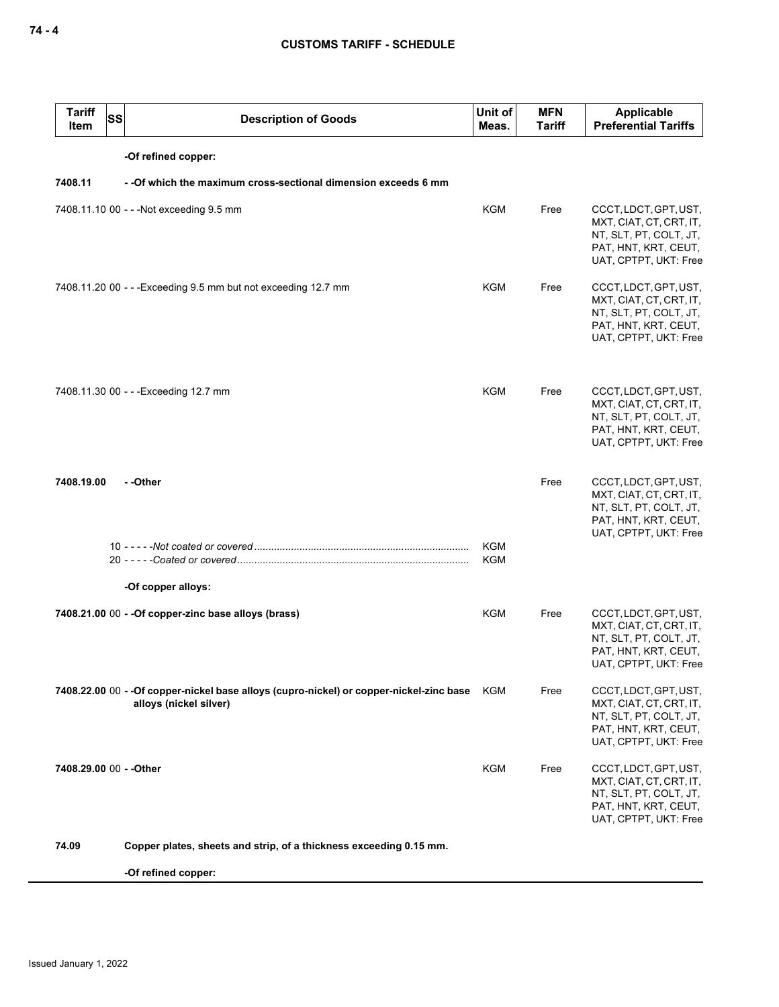| <b>Tariff</b><br>Item   | <b>SS</b> | <b>Description of Goods</b>                                                                                        | Unit of<br>Meas.  | <b>MFN</b><br><b>Tariff</b> | Applicable<br><b>Preferential Tariffs</b>                                                                                   |
|-------------------------|-----------|--------------------------------------------------------------------------------------------------------------------|-------------------|-----------------------------|-----------------------------------------------------------------------------------------------------------------------------|
|                         |           | -Of refined copper:                                                                                                |                   |                             |                                                                                                                             |
| 7408.11                 |           | - - Of which the maximum cross-sectional dimension exceeds 6 mm                                                    |                   |                             |                                                                                                                             |
|                         |           | 7408.11.10 00 - - - Not exceeding 9.5 mm                                                                           | KGM               | Free                        | CCCT, LDCT, GPT, UST,<br>MXT, CIAT, CT, CRT, IT,<br>NT, SLT, PT, COLT, JT,<br>PAT, HNT, KRT, CEUT,<br>UAT, CPTPT, UKT: Free |
|                         |           | 7408.11.20 00 - - - Exceeding 9.5 mm but not exceeding 12.7 mm                                                     | KGM               | Free                        | CCCT, LDCT, GPT, UST,<br>MXT, CIAT, CT, CRT, IT,<br>NT, SLT, PT, COLT, JT,<br>PAT, HNT, KRT, CEUT,<br>UAT, CPTPT, UKT: Free |
|                         |           | 7408.11.30 00 - - - Exceeding 12.7 mm                                                                              | <b>KGM</b>        | Free                        | CCCT, LDCT, GPT, UST,<br>MXT, CIAT, CT, CRT, IT,<br>NT, SLT, PT, COLT, JT,<br>PAT, HNT, KRT, CEUT,<br>UAT, CPTPT, UKT: Free |
| 7408.19.00              |           | - -Other                                                                                                           |                   | Free                        | CCCT, LDCT, GPT, UST,<br>MXT, CIAT, CT, CRT, IT,<br>NT, SLT, PT, COLT, JT,<br>PAT, HNT, KRT, CEUT,<br>UAT, CPTPT, UKT: Free |
|                         |           |                                                                                                                    | <b>KGM</b><br>KGM |                             |                                                                                                                             |
|                         |           | -Of copper alloys:                                                                                                 |                   |                             |                                                                                                                             |
|                         |           | 7408.21.00 00 - - Of copper-zinc base alloys (brass)                                                               | KGM               | Free                        | CCCT, LDCT, GPT, UST,<br>MXT, CIAT, CT, CRT, IT,<br>NT, SLT, PT, COLT, JT,<br>PAT, HNT, KRT, CEUT,<br>UAT, CPTPT, UKT: Free |
|                         |           | 7408.22.00 00 - - Of copper-nickel base alloys (cupro-nickel) or copper-nickel-zinc base<br>alloys (nickel silver) | KGM               | Free                        | CCCT, LDCT, GPT, UST,<br>MXT, CIAT, CT, CRT, IT,<br>NT, SLT, PT, COLT, JT,<br>PAT, HNT, KRT, CEUT,<br>UAT, CPTPT, UKT: Free |
| 7408.29.00 00 - - Other |           |                                                                                                                    | KGM               | Free                        | CCCT, LDCT, GPT, UST,<br>MXT, CIAT, CT, CRT, IT,<br>NT, SLT, PT, COLT, JT,<br>PAT, HNT, KRT, CEUT,<br>UAT, CPTPT, UKT: Free |
| 74.09                   |           | Copper plates, sheets and strip, of a thickness exceeding 0.15 mm.                                                 |                   |                             |                                                                                                                             |
|                         |           | -Of refined copper:                                                                                                |                   |                             |                                                                                                                             |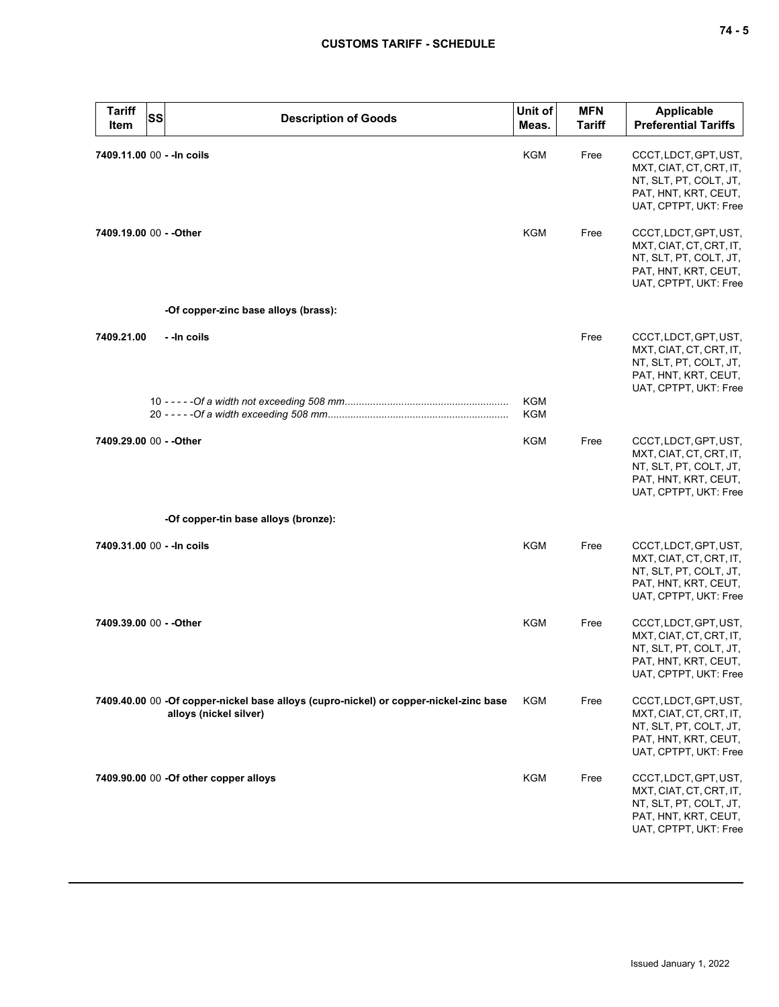| <b>Tariff</b><br>Item   | SS<br><b>Description of Goods</b>                                                                               | Unit of<br>Meas.         | <b>MFN</b><br><b>Tariff</b> | <b>Applicable</b><br><b>Preferential Tariffs</b>                                                                            |
|-------------------------|-----------------------------------------------------------------------------------------------------------------|--------------------------|-----------------------------|-----------------------------------------------------------------------------------------------------------------------------|
|                         | 7409.11.00 00 - - In coils                                                                                      | KGM                      | Free                        | CCCT, LDCT, GPT, UST,<br>MXT, CIAT, CT, CRT, IT,<br>NT, SLT, PT, COLT, JT,<br>PAT, HNT, KRT, CEUT,<br>UAT, CPTPT, UKT: Free |
| 7409.19.00 00 - - Other |                                                                                                                 | <b>KGM</b>               | Free                        | CCCT, LDCT, GPT, UST,<br>MXT, CIAT, CT, CRT, IT,<br>NT, SLT, PT, COLT, JT,<br>PAT, HNT, KRT, CEUT,<br>UAT, CPTPT, UKT: Free |
|                         | -Of copper-zinc base alloys (brass):                                                                            |                          |                             |                                                                                                                             |
| 7409.21.00              | - - In coils                                                                                                    |                          | Free                        | CCCT, LDCT, GPT, UST,<br>MXT, CIAT, CT, CRT, IT,<br>NT, SLT, PT, COLT, JT,<br>PAT, HNT, KRT, CEUT,<br>UAT, CPTPT, UKT: Free |
|                         |                                                                                                                 | <b>KGM</b><br><b>KGM</b> |                             |                                                                                                                             |
| 7409.29.00 00 - - Other |                                                                                                                 | KGM                      | Free                        | CCCT, LDCT, GPT, UST,<br>MXT, CIAT, CT, CRT, IT,<br>NT, SLT, PT, COLT, JT,<br>PAT, HNT, KRT, CEUT,<br>UAT, CPTPT, UKT: Free |
|                         | -Of copper-tin base alloys (bronze):                                                                            |                          |                             |                                                                                                                             |
|                         | 7409.31.00 00 - - In coils                                                                                      | <b>KGM</b>               | Free                        | CCCT, LDCT, GPT, UST,<br>MXT, CIAT, CT, CRT, IT,<br>NT, SLT, PT, COLT, JT,<br>PAT, HNT, KRT, CEUT,<br>UAT, CPTPT, UKT: Free |
| 7409.39.00 00 - - Other |                                                                                                                 | <b>KGM</b>               | Free                        | CCCT, LDCT, GPT, UST,<br>MXT, CIAT, CT, CRT, IT,<br>NT, SLT, PT, COLT, JT,<br>PAT, HNT, KRT, CEUT,<br>UAT, CPTPT, UKT: Free |
|                         | 7409.40.00 00 -Of copper-nickel base alloys (cupro-nickel) or copper-nickel-zinc base<br>alloys (nickel silver) | <b>KGM</b>               | Free                        | CCCT, LDCT, GPT, UST,<br>MXT, CIAT, CT, CRT, IT,<br>NT, SLT, PT, COLT, JT,<br>PAT, HNT, KRT, CEUT,<br>UAT, CPTPT, UKT: Free |
|                         | 7409.90.00 00 -Of other copper alloys                                                                           | <b>KGM</b>               | Free                        | CCCT, LDCT, GPT, UST,<br>MXT, CIAT, CT, CRT, IT,<br>NT, SLT, PT, COLT, JT,<br>PAT, HNT, KRT, CEUT,<br>UAT, CPTPT, UKT: Free |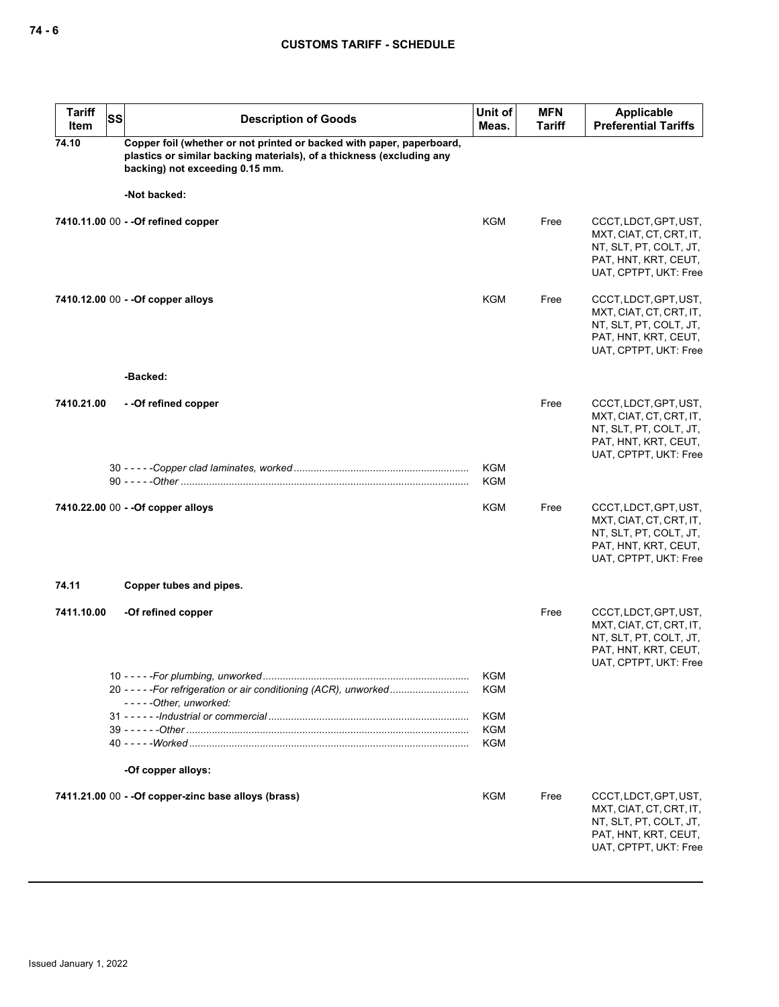| <b>Tariff</b><br>Item | <b>SS</b> | <b>Description of Goods</b>                                                                                                                                                       | Unit of<br>Meas.         | <b>MFN</b><br><b>Tariff</b> | <b>Applicable</b><br><b>Preferential Tariffs</b>                                                                            |
|-----------------------|-----------|-----------------------------------------------------------------------------------------------------------------------------------------------------------------------------------|--------------------------|-----------------------------|-----------------------------------------------------------------------------------------------------------------------------|
| 74.10                 |           | Copper foil (whether or not printed or backed with paper, paperboard,<br>plastics or similar backing materials), of a thickness (excluding any<br>backing) not exceeding 0.15 mm. |                          |                             |                                                                                                                             |
|                       |           | -Not backed:                                                                                                                                                                      |                          |                             |                                                                                                                             |
|                       |           | 7410.11.00 00 - - Of refined copper                                                                                                                                               | KGM                      | Free                        | CCCT, LDCT, GPT, UST,<br>MXT, CIAT, CT, CRT, IT,<br>NT, SLT, PT, COLT, JT,<br>PAT, HNT, KRT, CEUT,<br>UAT, CPTPT, UKT: Free |
|                       |           | 7410.12.00 00 - - Of copper alloys                                                                                                                                                | <b>KGM</b>               | Free                        | CCCT, LDCT, GPT, UST,<br>MXT, CIAT, CT, CRT, IT,<br>NT, SLT, PT, COLT, JT,<br>PAT, HNT, KRT, CEUT,<br>UAT, CPTPT, UKT: Free |
|                       |           | -Backed:                                                                                                                                                                          |                          |                             |                                                                                                                             |
| 7410.21.00            |           | --Of refined copper                                                                                                                                                               |                          | Free                        | CCCT, LDCT, GPT, UST,<br>MXT, CIAT, CT, CRT, IT,<br>NT, SLT, PT, COLT, JT,<br>PAT, HNT, KRT, CEUT,<br>UAT, CPTPT, UKT: Free |
|                       |           |                                                                                                                                                                                   | <b>KGM</b><br><b>KGM</b> |                             |                                                                                                                             |
|                       |           | 7410.22.00 00 - - Of copper alloys                                                                                                                                                | KGM                      | Free                        | CCCT, LDCT, GPT, UST,<br>MXT, CIAT, CT, CRT, IT,<br>NT, SLT, PT, COLT, JT,<br>PAT, HNT, KRT, CEUT,<br>UAT, CPTPT, UKT: Free |
| 74.11                 |           | Copper tubes and pipes.                                                                                                                                                           |                          |                             |                                                                                                                             |
| 7411.10.00            |           | -Of refined copper                                                                                                                                                                |                          | Free                        | CCCT, LDCT, GPT, UST,<br>MXT, CIAT, CT, CRT, IT,<br>NT, SLT, PT, COLT, JT,<br>PAT, HNT, KRT, CEUT,<br>UAT, CPTPT, UKT: Free |
|                       |           | 20 - - - - - For refrigeration or air conditioning (ACR), unworked<br>-----Other, unworked:                                                                                       | KGM<br>KGM               |                             |                                                                                                                             |
|                       |           |                                                                                                                                                                                   | KGM<br><b>KGM</b>        |                             |                                                                                                                             |
|                       |           |                                                                                                                                                                                   | <b>KGM</b>               |                             |                                                                                                                             |
|                       |           | -Of copper alloys:                                                                                                                                                                |                          |                             |                                                                                                                             |
|                       |           | 7411.21.00 00 - - Of copper-zinc base alloys (brass)                                                                                                                              | <b>KGM</b>               | Free                        | CCCT, LDCT, GPT, UST,<br>MXT, CIAT, CT, CRT, IT,<br>NT, SLT, PT, COLT, JT,<br>PAT, HNT, KRT, CEUT,<br>UAT, CPTPT, UKT: Free |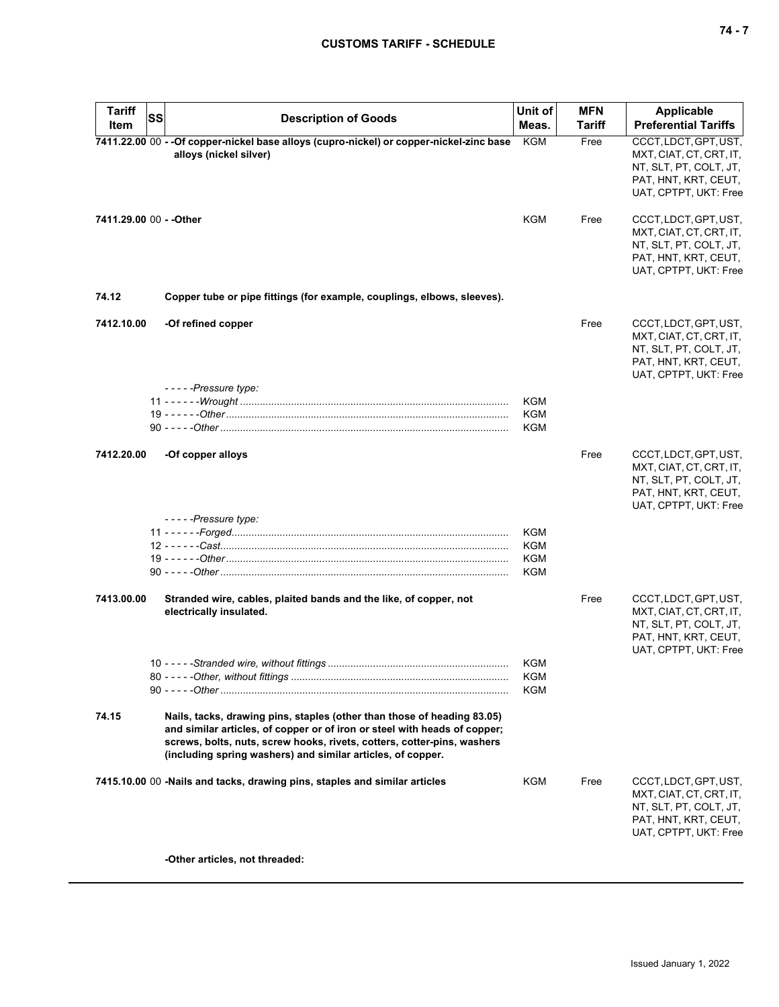# **CUSTOMS TARIFF - SCHEDULE**

| <b>Tariff</b>           | <b>SS</b>                                                                                                                                                                                                                                                                                      | Unit of    | <b>MFN</b> | <b>Applicable</b>                                                                                                           |
|-------------------------|------------------------------------------------------------------------------------------------------------------------------------------------------------------------------------------------------------------------------------------------------------------------------------------------|------------|------------|-----------------------------------------------------------------------------------------------------------------------------|
| Item                    | <b>Description of Goods</b>                                                                                                                                                                                                                                                                    | Meas.      | Tariff     | <b>Preferential Tariffs</b>                                                                                                 |
|                         | 7411.22.00 00 - - Of copper-nickel base alloys (cupro-nickel) or copper-nickel-zinc base<br>alloys (nickel silver)                                                                                                                                                                             | KGM        | Free       | CCCT, LDCT, GPT, UST,<br>MXT, CIAT, CT, CRT, IT,<br>NT, SLT, PT, COLT, JT,<br>PAT, HNT, KRT, CEUT,<br>UAT, CPTPT, UKT: Free |
| 7411.29.00 00 - - Other |                                                                                                                                                                                                                                                                                                | KGM        | Free       | CCCT, LDCT, GPT, UST,<br>MXT, CIAT, CT, CRT, IT,<br>NT, SLT, PT, COLT, JT,<br>PAT, HNT, KRT, CEUT,<br>UAT, CPTPT, UKT: Free |
| 74.12                   | Copper tube or pipe fittings (for example, couplings, elbows, sleeves).                                                                                                                                                                                                                        |            |            |                                                                                                                             |
| 7412.10.00              | -Of refined copper<br>-----Pressure type:                                                                                                                                                                                                                                                      |            | Free       | CCCT, LDCT, GPT, UST,<br>MXT, CIAT, CT, CRT, IT,<br>NT, SLT, PT, COLT, JT,<br>PAT, HNT, KRT, CEUT,<br>UAT, CPTPT, UKT: Free |
|                         |                                                                                                                                                                                                                                                                                                | <b>KGM</b> |            |                                                                                                                             |
|                         |                                                                                                                                                                                                                                                                                                | <b>KGM</b> |            |                                                                                                                             |
|                         |                                                                                                                                                                                                                                                                                                | KGM        |            |                                                                                                                             |
| 7412.20.00              | -Of copper alloys<br>-----Pressure type:                                                                                                                                                                                                                                                       |            | Free       | CCCT, LDCT, GPT, UST,<br>MXT, CIAT, CT, CRT, IT,<br>NT, SLT, PT, COLT, JT,<br>PAT, HNT, KRT, CEUT,<br>UAT, CPTPT, UKT: Free |
|                         |                                                                                                                                                                                                                                                                                                | <b>KGM</b> |            |                                                                                                                             |
|                         |                                                                                                                                                                                                                                                                                                | <b>KGM</b> |            |                                                                                                                             |
|                         |                                                                                                                                                                                                                                                                                                | <b>KGM</b> |            |                                                                                                                             |
|                         |                                                                                                                                                                                                                                                                                                | <b>KGM</b> |            |                                                                                                                             |
| 7413.00.00              | Stranded wire, cables, plaited bands and the like, of copper, not<br>electrically insulated.                                                                                                                                                                                                   |            | Free       | CCCT, LDCT, GPT, UST,<br>MXT, CIAT, CT, CRT, IT,<br>NT, SLT, PT, COLT, JT,<br>PAT, HNT, KRT, CEUT,<br>UAT, CPTPT, UKT: Free |
|                         |                                                                                                                                                                                                                                                                                                | KGM        |            |                                                                                                                             |
|                         |                                                                                                                                                                                                                                                                                                | <b>KGM</b> |            |                                                                                                                             |
|                         |                                                                                                                                                                                                                                                                                                | <b>KGM</b> |            |                                                                                                                             |
| 74.15                   | Nails, tacks, drawing pins, staples (other than those of heading 83.05)<br>and similar articles, of copper or of iron or steel with heads of copper;<br>screws, bolts, nuts, screw hooks, rivets, cotters, cotter-pins, washers<br>(including spring washers) and similar articles, of copper. |            |            |                                                                                                                             |
|                         | 7415.10.00 00 -Nails and tacks, drawing pins, staples and similar articles                                                                                                                                                                                                                     | KGM        | Free       | CCCT, LDCT, GPT, UST,<br>MXT, CIAT, CT, CRT, IT,<br>NT, SLT, PT, COLT, JT,<br>PAT, HNT, KRT, CEUT,<br>UAT, CPTPT, UKT: Free |
|                         | -Other articles, not threaded:                                                                                                                                                                                                                                                                 |            |            |                                                                                                                             |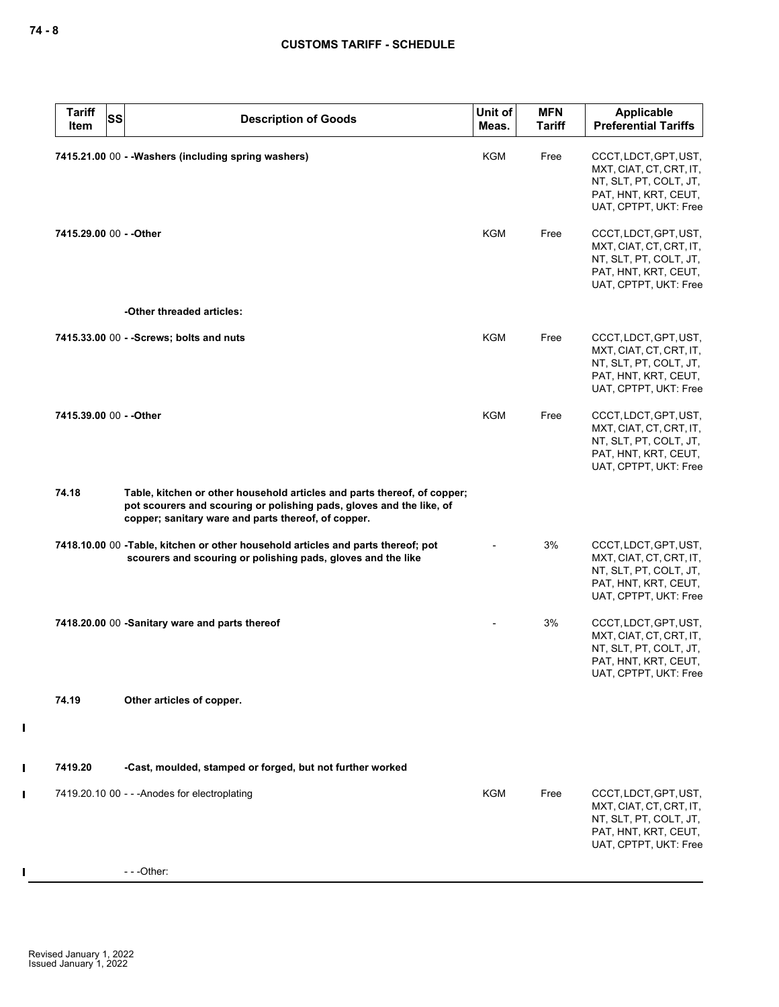| <b>Tariff</b><br>Item   | <b>SS</b><br><b>Description of Goods</b>                                                                                                                                                                | Unit of<br>Meas. | <b>MFN</b><br><b>Tariff</b> | Applicable<br><b>Preferential Tariffs</b>                                                                                   |
|-------------------------|---------------------------------------------------------------------------------------------------------------------------------------------------------------------------------------------------------|------------------|-----------------------------|-----------------------------------------------------------------------------------------------------------------------------|
|                         | 7415.21.00 00 - - Washers (including spring washers)                                                                                                                                                    | <b>KGM</b>       | Free                        | CCCT, LDCT, GPT, UST,<br>MXT, CIAT, CT, CRT, IT,<br>NT, SLT, PT, COLT, JT,<br>PAT, HNT, KRT, CEUT,<br>UAT, CPTPT, UKT: Free |
| 7415.29.00 00 - - Other |                                                                                                                                                                                                         | KGM              | Free                        | CCCT, LDCT, GPT, UST,<br>MXT, CIAT, CT, CRT, IT,<br>NT, SLT, PT, COLT, JT,<br>PAT, HNT, KRT, CEUT,<br>UAT, CPTPT, UKT: Free |
|                         | -Other threaded articles:                                                                                                                                                                               |                  |                             |                                                                                                                             |
|                         | 7415.33.00 00 - - Screws; bolts and nuts                                                                                                                                                                | <b>KGM</b>       | Free                        | CCCT, LDCT, GPT, UST,<br>MXT, CIAT, CT, CRT, IT,<br>NT, SLT, PT, COLT, JT,<br>PAT, HNT, KRT, CEUT,<br>UAT, CPTPT, UKT: Free |
| 7415.39.00 00 - - Other |                                                                                                                                                                                                         | <b>KGM</b>       | Free                        | CCCT, LDCT, GPT, UST,<br>MXT, CIAT, CT, CRT, IT,<br>NT, SLT, PT, COLT, JT,<br>PAT, HNT, KRT, CEUT,<br>UAT, CPTPT, UKT: Free |
| 74.18                   | Table, kitchen or other household articles and parts thereof, of copper;<br>pot scourers and scouring or polishing pads, gloves and the like, of<br>copper; sanitary ware and parts thereof, of copper. |                  |                             |                                                                                                                             |
|                         | 7418.10.00 00 -Table, kitchen or other household articles and parts thereof; pot<br>scourers and scouring or polishing pads, gloves and the like                                                        |                  | 3%                          | CCCT, LDCT, GPT, UST,<br>MXT, CIAT, CT, CRT, IT,<br>NT, SLT, PT, COLT, JT,<br>PAT, HNT, KRT, CEUT,<br>UAT, CPTPT, UKT: Free |
|                         | 7418.20.00 00 -Sanitary ware and parts thereof                                                                                                                                                          |                  | 3%                          | CCCT, LDCT, GPT, UST,<br>MXT, CIAT, CT, CRT, IT,<br>NT, SLT, PT, COLT, JT,<br>PAT, HNT, KRT, CEUT,<br>UAT, CPTPT, UKT: Free |
| 74.19                   | Other articles of copper.                                                                                                                                                                               |                  |                             |                                                                                                                             |
| 7419.20                 | -Cast, moulded, stamped or forged, but not further worked                                                                                                                                               |                  |                             |                                                                                                                             |
|                         | 7419.20.10 00 - - - Anodes for electroplating                                                                                                                                                           | KGM              | Free                        | CCCT, LDCT, GPT, UST,<br>MXT, CIAT, CT, CRT, IT,<br>NT, SLT, PT, COLT, JT,<br>PAT, HNT, KRT, CEUT,<br>UAT, CPTPT, UKT: Free |
|                         | $--$ Other:                                                                                                                                                                                             |                  |                             |                                                                                                                             |

 $\mathbf{I}$ 

 $\blacksquare$ 

 $\mathbf{I}$ 

 $\blacksquare$